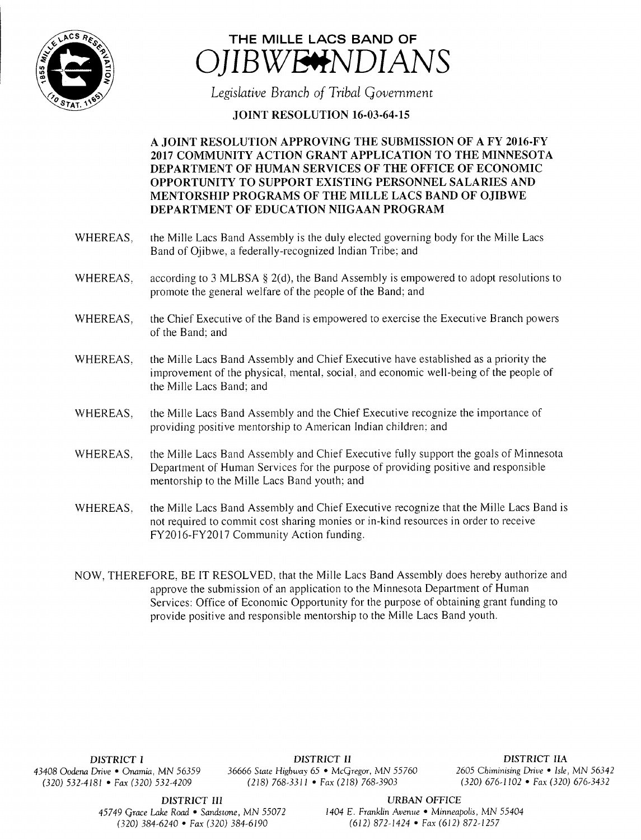



Legislative Branch of Tribal Government

## **JOINT RESOLUTION 16-03-64-15**

## A JOINT RESOLUTION APPROVING THE SUBMISSION OF A FY 2016- FY 2017 COMMUNITY ACTION GRANT APPLICATION TO THE MINNESOTA DEPARTMENT OF HUMAN SERVICES OF THE OFFICE OF ECONOMIC OPPORTUNITY TO SUPPORT EXISTING PERSONNEL SALARIES AND MENTORSHIP PROGRAMS OF THE MILLE LACS BAND OF OJIBWE DEPARTMENT OF EDUCATION NIIGAAN PROGRAM

- WHEREAS, the Mille Lacs Band Assembly is the duly elected governing body for the Mille Lacs Band of Ojibwe, a federally-recognized Indian Tribe: and
- WHEREAS, according to 3 MLBSA § 2(d), the Band Assembly is empowered to adopt resolutions to promote the general welfare of the people of the Band; and
- WHEREAS, the Chief Executive of the Band is empowered to exercise the Executive Branch powers of the Band: and
- WHEREAS, the Mille Lacs Band Assembly and Chief Executive have established as a priority the improvement of the physical, mental, social, and economic well-being of the people of the Mille Lacs Band; and
- WHEREAS, the Mille Lacs Band Assembly and the Chief Executive recognize the importance of providing positive mentorship to American Indian children; and
- WHEREAS, the Mille Lacs Band Assembly and Chief Executive fully support the goals of Minnesota Department of Human Services for the purpose of providing positive and responsible mentorship to the Mille Lacs Band youth; and
- WHEREAS, the Mille Lacs Band Assembly and Chief Executive recognize that the Mille Lacs Band is not required to commit cost sharing monies or in- kind resources in order to receive FY2016-FY2017 Community Action funding.
- NOW, THEREFORE, BE IT RESOLVED, that the Mille Lacs Band Assembly does hereby authorize and approve the submission of an application to the Minnesota Department of Human Services: Office of Economic Opportunity for the purpose of obtaining grant funding to provide positive and responsible mentorship to the Mille Lacs Band youth.

DISTRICT I DISTRICT II DISTRICT IIA 43408 Oodena Drive • Onamia, MN 56359 36666 State Highway 65 • McGregor, MN 55760 <sup>2605</sup> Chiminising Drive • Isle, MN 56342 320) 532-4181 • Fax( 320) 532- 4209 218) 768- 3311 • Fax( 218) 768- 3903 320) 676- 1102 • Fax( 320) 676- 3432

DISTRICT III URBAN OFFICE

45749 Grace Lake Road • Sandstone, MN 55072 1404 E. Franklin Avenue • Minneapolis, MN 55404 320) 384- 6240 • Fax( 320) 384- 6190 612) 872- 1424 • Fax( 612) 872- 1257